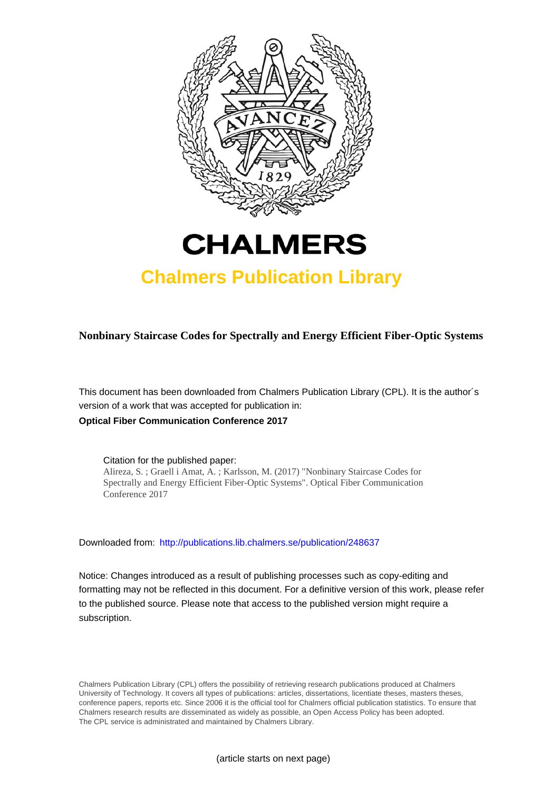

# **CHALMERS**

## **Chalmers Publication Library**

**Nonbinary Staircase Codes for Spectrally and Energy Efficient Fiber-Optic Systems**

This document has been downloaded from Chalmers Publication Library (CPL). It is the author´s version of a work that was accepted for publication in: **Optical Fiber Communication Conference 2017**

Citation for the published paper: Alireza, S. ; Graell i Amat, A. ; Karlsson, M. (2017) "Nonbinary Staircase Codes for Spectrally and Energy Efficient Fiber-Optic Systems". Optical Fiber Communication Conference 2017

Downloaded from: <http://publications.lib.chalmers.se/publication/248637>

Notice: Changes introduced as a result of publishing processes such as copy-editing and formatting may not be reflected in this document. For a definitive version of this work, please refer to the published source. Please note that access to the published version might require a subscription.

Chalmers Publication Library (CPL) offers the possibility of retrieving research publications produced at Chalmers University of Technology. It covers all types of publications: articles, dissertations, licentiate theses, masters theses, conference papers, reports etc. Since 2006 it is the official tool for Chalmers official publication statistics. To ensure that Chalmers research results are disseminated as widely as possible, an Open Access Policy has been adopted. The CPL service is administrated and maintained by Chalmers Library.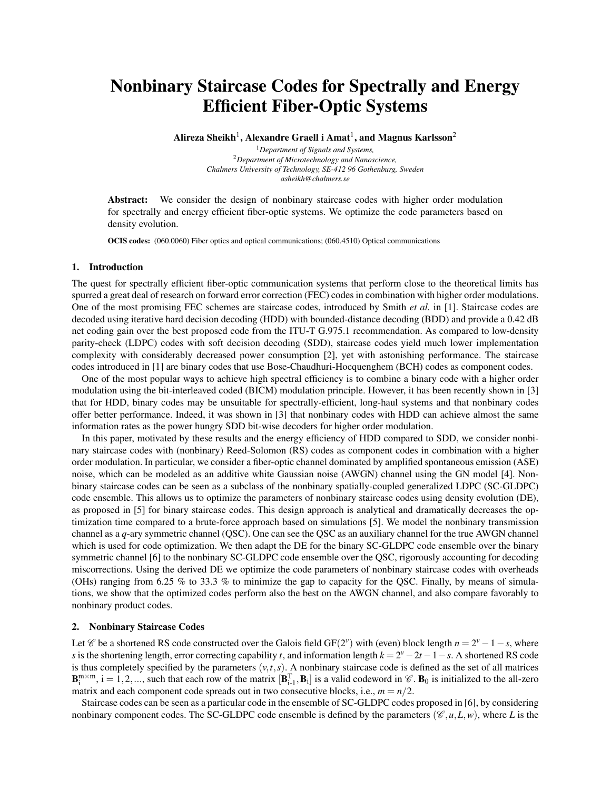### Nonbinary Staircase Codes for Spectrally and Energy Efficient Fiber-Optic Systems

Alireza Sheikh $^1$ , Alexandre Graell i Amat $^1$ , and Magnus Karlsson $^2$ 

<sup>1</sup>*Department of Signals and Systems,* <sup>2</sup>*Department of Microtechnology and Nanoscience, Chalmers University of Technology, SE-412 96 Gothenburg, Sweden asheikh@chalmers.se*

Abstract: We consider the design of nonbinary staircase codes with higher order modulation for spectrally and energy efficient fiber-optic systems. We optimize the code parameters based on density evolution.

OCIS codes: (060.0060) Fiber optics and optical communications; (060.4510) Optical communications

#### 1. Introduction

The quest for spectrally efficient fiber-optic communication systems that perform close to the theoretical limits has spurred a great deal of research on forward error correction (FEC) codes in combination with higher order modulations. One of the most promising FEC schemes are staircase codes, introduced by Smith *et al.* in [1]. Staircase codes are decoded using iterative hard decision decoding (HDD) with bounded-distance decoding (BDD) and provide a 0.42 dB net coding gain over the best proposed code from the ITU-T G.975.1 recommendation. As compared to low-density parity-check (LDPC) codes with soft decision decoding (SDD), staircase codes yield much lower implementation complexity with considerably decreased power consumption [2], yet with astonishing performance. The staircase codes introduced in [1] are binary codes that use Bose-Chaudhuri-Hocquenghem (BCH) codes as component codes.

One of the most popular ways to achieve high spectral efficiency is to combine a binary code with a higher order modulation using the bit-interleaved coded (BICM) modulation principle. However, it has been recently shown in [3] that for HDD, binary codes may be unsuitable for spectrally-efficient, long-haul systems and that nonbinary codes offer better performance. Indeed, it was shown in [3] that nonbinary codes with HDD can achieve almost the same information rates as the power hungry SDD bit-wise decoders for higher order modulation.

In this paper, motivated by these results and the energy efficiency of HDD compared to SDD, we consider nonbinary staircase codes with (nonbinary) Reed-Solomon (RS) codes as component codes in combination with a higher order modulation. In particular, we consider a fiber-optic channel dominated by amplified spontaneous emission (ASE) noise, which can be modeled as an additive white Gaussian noise (AWGN) channel using the GN model [4]. Nonbinary staircase codes can be seen as a subclass of the nonbinary spatially-coupled generalized LDPC (SC-GLDPC) code ensemble. This allows us to optimize the parameters of nonbinary staircase codes using density evolution (DE), as proposed in [5] for binary staircase codes. This design approach is analytical and dramatically decreases the optimization time compared to a brute-force approach based on simulations [5]. We model the nonbinary transmission channel as a *q*-ary symmetric channel (QSC). One can see the QSC as an auxiliary channel for the true AWGN channel which is used for code optimization. We then adapt the DE for the binary SC-GLDPC code ensemble over the binary symmetric channel [6] to the nonbinary SC-GLDPC code ensemble over the QSC, rigorously accounting for decoding miscorrections. Using the derived DE we optimize the code parameters of nonbinary staircase codes with overheads (OHs) ranging from 6.25 % to 33.3 % to minimize the gap to capacity for the QSC. Finally, by means of simulations, we show that the optimized codes perform also the best on the AWGN channel, and also compare favorably to nonbinary product codes.

#### 2. Nonbinary Staircase Codes

Let  $\mathscr C$  be a shortened RS code constructed over the Galois field GF(2<sup>*v*</sup>) with (even) block length  $n = 2^{\nu} - 1 - s$ , where *s* is the shortening length, error correcting capability *t*, and information length  $k = 2^{\nu} - 2t - 1 - s$ . A shortened RS code is thus completely specified by the parameters  $(v, t, s)$ . A nonbinary staircase code is defined as the set of all matrices  $\mathbf{B}_{i}^{m \times m}$ ,  $i = 1, 2, \dots$ , such that each row of the matrix  $[\mathbf{B}_{i-1}^{T}, \mathbf{B}_{i}]$  is a valid codeword in  $\mathscr{C}$ .  $\mathbf{B}_{0}$  is initialized to the all-zero matrix and each component code spreads out in two consecutive blocks, i.e.,  $m = n/2$ .

Staircase codes can be seen as a particular code in the ensemble of SC-GLDPC codes proposed in [6], by considering nonbinary component codes. The SC-GLDPC code ensemble is defined by the parameters ( $\mathcal{C}, u, L, w$ ), where *L* is the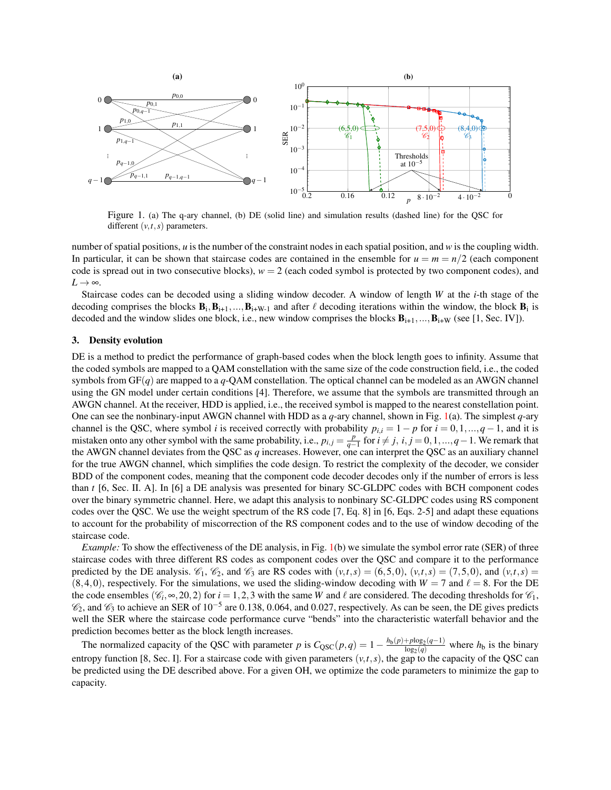

<span id="page-2-0"></span>Figure 1. (a) The q-ary channel, (b) DE (solid line) and simulation results (dashed line) for the QSC for different  $(v, t, s)$  parameters.

number of spatial positions, *u* is the number of the constraint nodes in each spatial position, and *w* is the coupling width. In particular, it can be shown that staircase codes are contained in the ensemble for  $u = m = n/2$  (each component code is spread out in two consecutive blocks), *w* = 2 (each coded symbol is protected by two component codes), and  $L \rightarrow \infty$ .

Staircase codes can be decoded using a sliding window decoder. A window of length *W* at the *i*-th stage of the decoding comprises the blocks  $B_i$ ,  $B_{i+1}$ , ...,  $B_{i+W-1}$  and after  $\ell$  decoding iterations within the window, the block  $B_i$  is decoded and the window slides one block, i.e., new window comprises the blocks  $B_{i+1},...,B_{i+W}$  (see [1, Sec. IV]).

#### 3. Density evolution

DE is a method to predict the performance of graph-based codes when the block length goes to infinity. Assume that the coded symbols are mapped to a QAM constellation with the same size of the code construction field, i.e., the coded symbols from  $GF(q)$  are mapped to a  $q$ -QAM constellation. The optical channel can be modeled as an AWGN channel using the GN model under certain conditions [4]. Therefore, we assume that the symbols are transmitted through an AWGN channel. At the receiver, HDD is applied, i.e., the received symbol is mapped to the nearest constellation point. One can see the nonbinary-input AWGN channel with HDD as a *q*-ary channel, shown in Fig. [1\(](#page-2-0)a). The simplest *q*-ary channel is the QSC, where symbol *i* is received correctly with probability  $p_{i,i} = 1 - p$  for  $i = 0, 1, ..., q - 1$ , and it is mistaken onto any other symbol with the same probability, i.e.,  $p_{i,j} = \frac{p}{q-1}$  for  $i \neq j$ ,  $i, j = 0, 1, ..., q-1$ . We remark that the AWGN channel deviates from the QSC as *q* increases. However, one can interpret the QSC as an auxiliary channel for the true AWGN channel, which simplifies the code design. To restrict the complexity of the decoder, we consider BDD of the component codes, meaning that the component code decoder decodes only if the number of errors is less than *t* [6, Sec. II. A]. In [6] a DE analysis was presented for binary SC-GLDPC codes with BCH component codes over the binary symmetric channel. Here, we adapt this analysis to nonbinary SC-GLDPC codes using RS component codes over the QSC. We use the weight spectrum of the RS code [7, Eq. 8] in [6, Eqs. 2-5] and adapt these equations to account for the probability of miscorrection of the RS component codes and to the use of window decoding of the staircase code.

*Example:* To show the effectiveness of the DE analysis, in Fig. [1\(](#page-2-0)b) we simulate the symbol error rate (SER) of three staircase codes with three different RS codes as component codes over the QSC and compare it to the performance predicted by the DE analysis.  $\mathcal{C}_1$ ,  $\mathcal{C}_2$ , and  $\mathcal{C}_3$  are RS codes with  $(v,t,s) = (6,5,0)$ ,  $(v,t,s) = (7,5,0)$ , and  $(v,t,s) = (7,5,0)$  $(8,4,0)$ , respectively. For the simulations, we used the sliding-window decoding with  $W = 7$  and  $\ell = 8$ . For the DE the code ensembles  $(\mathcal{C}_i, \infty, 20, 2)$  for  $i = 1, 2, 3$  with the same *W* and  $\ell$  are considered. The decoding thresholds for  $\mathcal{C}_1$ ,  $\mathcal{C}_2$ , and  $\mathcal{C}_3$  to achieve an SER of 10<sup>-5</sup> are 0.138, 0.064, and 0.027, respectively. As can be seen, the DE gives predicts well the SER where the staircase code performance curve "bends" into the characteristic waterfall behavior and the prediction becomes better as the block length increases.

The normalized capacity of the QSC with parameter *p* is  $C_{QSC}(p,q) = 1 - \frac{h_b(p) + p \log_2(q-1)}{\log_2(q)}$  $\frac{1 + p \log_2(q-1)}{\log_2(q)}$  where  $h_b$  is the binary entropy function [8, Sec. I]. For a staircase code with given parameters  $(v, t, s)$ , the gap to the capacity of the QSC can be predicted using the DE described above. For a given OH, we optimize the code parameters to minimize the gap to capacity.